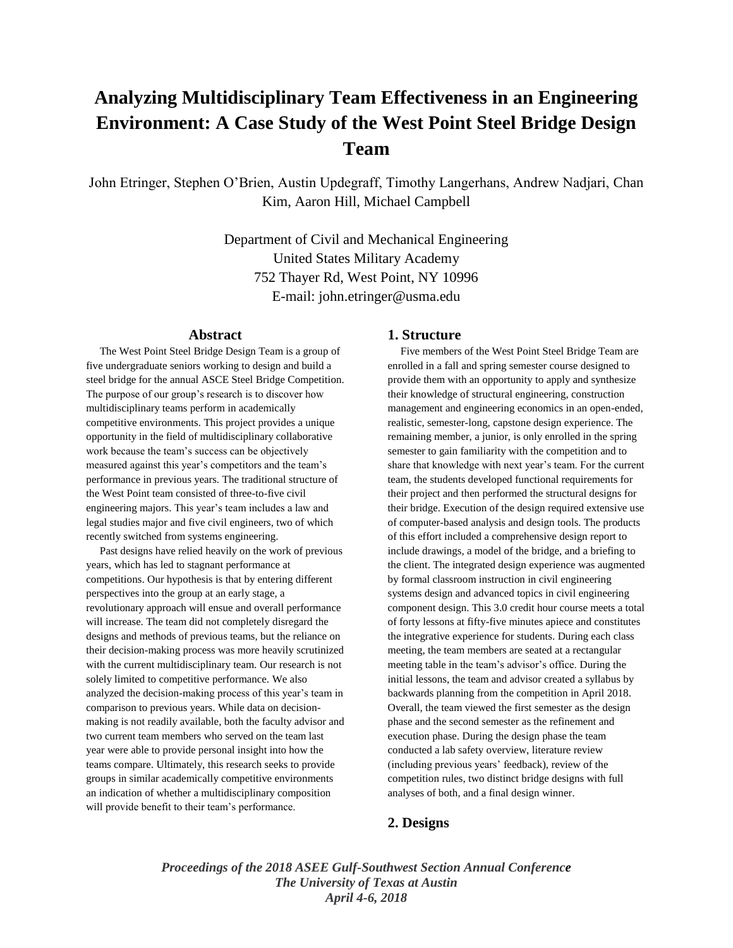# **Analyzing Multidisciplinary Team Effectiveness in an Engineering Environment: A Case Study of the West Point Steel Bridge Design Team**

John Etringer, Stephen O'Brien, Austin Updegraff, Timothy Langerhans, Andrew Nadjari, Chan Kim, Aaron Hill, Michael Campbell

> Department of Civil and Mechanical Engineering United States Military Academy 752 Thayer Rd, West Point, NY 10996 E-mail: john.etringer@usma.edu

## **Abstract**

 The West Point Steel Bridge Design Team is a group of five undergraduate seniors working to design and build a steel bridge for the annual ASCE Steel Bridge Competition. The purpose of our group's research is to discover how multidisciplinary teams perform in academically competitive environments. This project provides a unique opportunity in the field of multidisciplinary collaborative work because the team's success can be objectively measured against this year's competitors and the team's performance in previous years. The traditional structure of the West Point team consisted of three-to-five civil engineering majors. This year's team includes a law and legal studies major and five civil engineers, two of which recently switched from systems engineering.

 Past designs have relied heavily on the work of previous years, which has led to stagnant performance at competitions. Our hypothesis is that by entering different perspectives into the group at an early stage, a revolutionary approach will ensue and overall performance will increase. The team did not completely disregard the designs and methods of previous teams, but the reliance on their decision-making process was more heavily scrutinized with the current multidisciplinary team. Our research is not solely limited to competitive performance. We also analyzed the decision-making process of this year's team in comparison to previous years. While data on decisionmaking is not readily available, both the faculty advisor and two current team members who served on the team last year were able to provide personal insight into how the teams compare. Ultimately, this research seeks to provide groups in similar academically competitive environments an indication of whether a multidisciplinary composition will provide benefit to their team's performance.

#### **1. Structure**

 Five members of the West Point Steel Bridge Team are enrolled in a fall and spring semester course designed to provide them with an opportunity to apply and synthesize their knowledge of structural engineering, construction management and engineering economics in an open-ended, realistic, semester-long, capstone design experience. The remaining member, a junior, is only enrolled in the spring semester to gain familiarity with the competition and to share that knowledge with next year's team. For the current team, the students developed functional requirements for their project and then performed the structural designs for their bridge. Execution of the design required extensive use of computer-based analysis and design tools. The products of this effort included a comprehensive design report to include drawings, a model of the bridge, and a briefing to the client. The integrated design experience was augmented by formal classroom instruction in civil engineering systems design and advanced topics in civil engineering component design. This 3.0 credit hour course meets a total of forty lessons at fifty-five minutes apiece and constitutes the integrative experience for students. During each class meeting, the team members are seated at a rectangular meeting table in the team's advisor's office. During the initial lessons, the team and advisor created a syllabus by backwards planning from the competition in April 2018. Overall, the team viewed the first semester as the design phase and the second semester as the refinement and execution phase. During the design phase the team conducted a lab safety overview, literature review (including previous years' feedback), review of the competition rules, two distinct bridge designs with full analyses of both, and a final design winner.

## **2. Designs**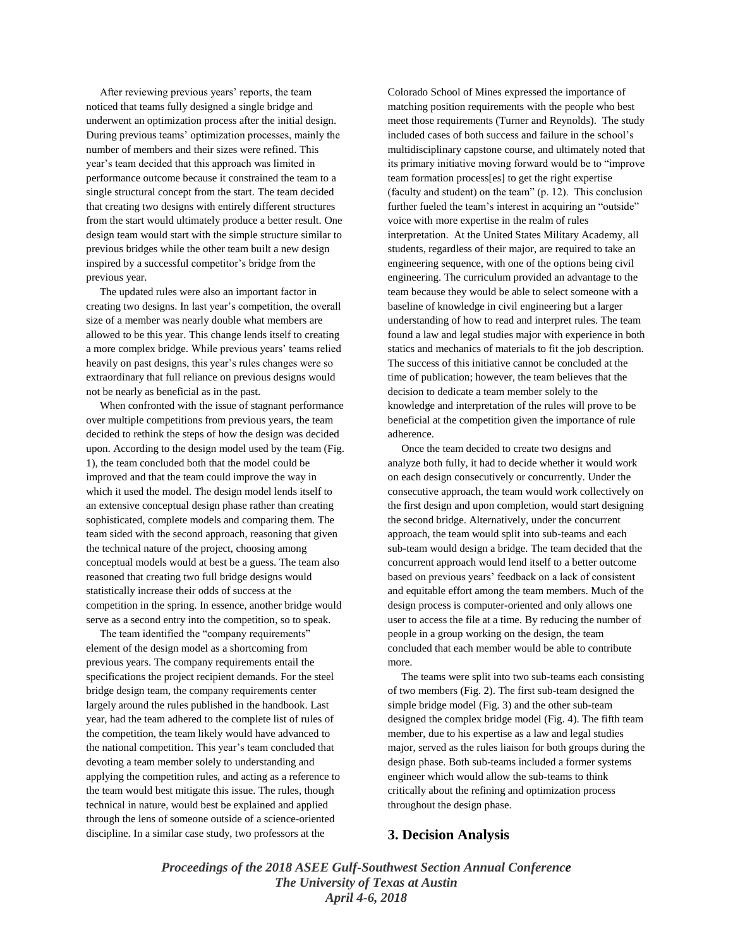After reviewing previous years' reports, the team noticed that teams fully designed a single bridge and underwent an optimization process after the initial design. During previous teams' optimization processes, mainly the number of members and their sizes were refined. This year's team decided that this approach was limited in performance outcome because it constrained the team to a single structural concept from the start. The team decided that creating two designs with entirely different structures from the start would ultimately produce a better result. One design team would start with the simple structure similar to previous bridges while the other team built a new design inspired by a successful competitor's bridge from the previous year.

 The updated rules were also an important factor in creating two designs. In last year's competition, the overall size of a member was nearly double what members are allowed to be this year. This change lends itself to creating a more complex bridge. While previous years' teams relied heavily on past designs, this year's rules changes were so extraordinary that full reliance on previous designs would not be nearly as beneficial as in the past.

 When confronted with the issue of stagnant performance over multiple competitions from previous years, the team decided to rethink the steps of how the design was decided upon. According to the design model used by the team (Fig. 1), the team concluded both that the model could be improved and that the team could improve the way in which it used the model. The design model lends itself to an extensive conceptual design phase rather than creating sophisticated, complete models and comparing them. The team sided with the second approach, reasoning that given the technical nature of the project, choosing among conceptual models would at best be a guess. The team also reasoned that creating two full bridge designs would statistically increase their odds of success at the competition in the spring. In essence, another bridge would serve as a second entry into the competition, so to speak.

 The team identified the "company requirements" element of the design model as a shortcoming from previous years. The company requirements entail the specifications the project recipient demands. For the steel bridge design team, the company requirements center largely around the rules published in the handbook. Last year, had the team adhered to the complete list of rules of the competition, the team likely would have advanced to the national competition. This year's team concluded that devoting a team member solely to understanding and applying the competition rules, and acting as a reference to the team would best mitigate this issue. The rules, though technical in nature, would best be explained and applied through the lens of someone outside of a science-oriented discipline. In a similar case study, two professors at the

Colorado School of Mines expressed the importance of matching position requirements with the people who best meet those requirements (Turner and Reynolds). The study included cases of both success and failure in the school's multidisciplinary capstone course, and ultimately noted that its primary initiative moving forward would be to "improve team formation process[es] to get the right expertise (faculty and student) on the team" (p. 12). This conclusion further fueled the team's interest in acquiring an "outside" voice with more expertise in the realm of rules interpretation. At the United States Military Academy, all students, regardless of their major, are required to take an engineering sequence, with one of the options being civil engineering. The curriculum provided an advantage to the team because they would be able to select someone with a baseline of knowledge in civil engineering but a larger understanding of how to read and interpret rules. The team found a law and legal studies major with experience in both statics and mechanics of materials to fit the job description. The success of this initiative cannot be concluded at the time of publication; however, the team believes that the decision to dedicate a team member solely to the knowledge and interpretation of the rules will prove to be beneficial at the competition given the importance of rule adherence.

 Once the team decided to create two designs and analyze both fully, it had to decide whether it would work on each design consecutively or concurrently. Under the consecutive approach, the team would work collectively on the first design and upon completion, would start designing the second bridge. Alternatively, under the concurrent approach, the team would split into sub-teams and each sub-team would design a bridge. The team decided that the concurrent approach would lend itself to a better outcome based on previous years' feedback on a lack of consistent and equitable effort among the team members. Much of the design process is computer-oriented and only allows one user to access the file at a time. By reducing the number of people in a group working on the design, the team concluded that each member would be able to contribute more.

 The teams were split into two sub-teams each consisting of two members (Fig. 2). The first sub-team designed the simple bridge model (Fig. 3) and the other sub-team designed the complex bridge model (Fig. 4). The fifth team member, due to his expertise as a law and legal studies major, served as the rules liaison for both groups during the design phase. Both sub-teams included a former systems engineer which would allow the sub-teams to think critically about the refining and optimization process throughout the design phase.

## **3. Decision Analysis**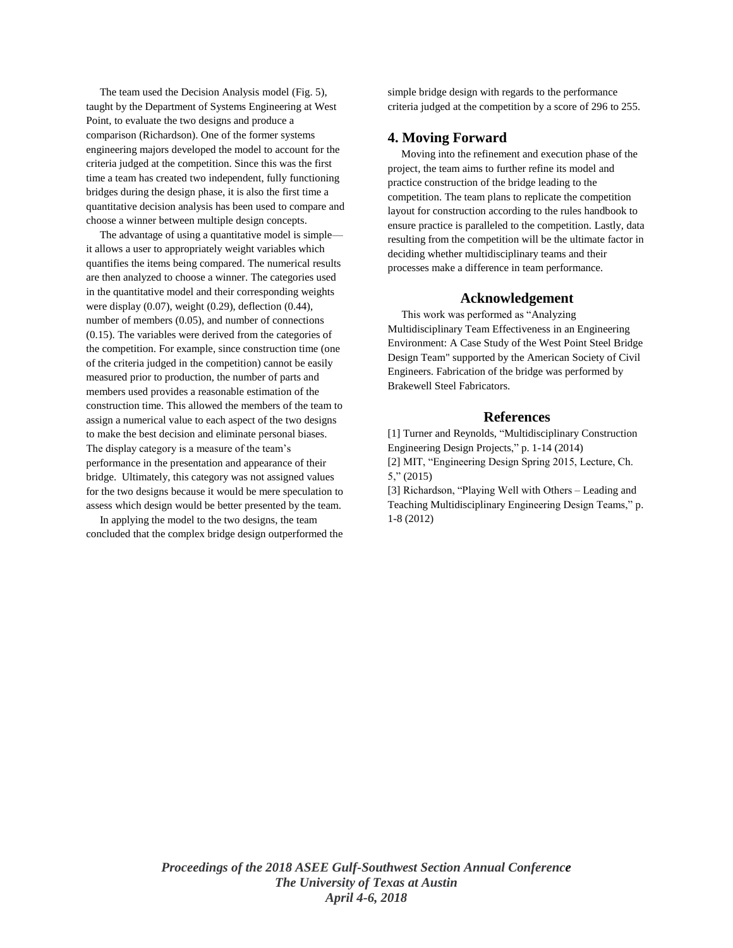The team used the Decision Analysis model (Fig. 5), taught by the Department of Systems Engineering at West Point, to evaluate the two designs and produce a comparison (Richardson). One of the former systems engineering majors developed the model to account for the criteria judged at the competition. Since this was the first time a team has created two independent, fully functioning bridges during the design phase, it is also the first time a quantitative decision analysis has been used to compare and choose a winner between multiple design concepts.

 The advantage of using a quantitative model is simple it allows a user to appropriately weight variables which quantifies the items being compared. The numerical results are then analyzed to choose a winner. The categories used in the quantitative model and their corresponding weights were display (0.07), weight (0.29), deflection (0.44), number of members (0.05), and number of connections (0.15). The variables were derived from the categories of the competition. For example, since construction time (one of the criteria judged in the competition) cannot be easily measured prior to production, the number of parts and members used provides a reasonable estimation of the construction time. This allowed the members of the team to assign a numerical value to each aspect of the two designs to make the best decision and eliminate personal biases. The display category is a measure of the team's performance in the presentation and appearance of their bridge. Ultimately, this category was not assigned values for the two designs because it would be mere speculation to assess which design would be better presented by the team.

 In applying the model to the two designs, the team concluded that the complex bridge design outperformed the simple bridge design with regards to the performance criteria judged at the competition by a score of 296 to 255.

## **4. Moving Forward**

 Moving into the refinement and execution phase of the project, the team aims to further refine its model and practice construction of the bridge leading to the competition. The team plans to replicate the competition layout for construction according to the rules handbook to ensure practice is paralleled to the competition. Lastly, data resulting from the competition will be the ultimate factor in deciding whether multidisciplinary teams and their processes make a difference in team performance.

#### **Acknowledgement**

 This work was performed as "Analyzing Multidisciplinary Team Effectiveness in an Engineering Environment: A Case Study of the West Point Steel Bridge Design Team" supported by the American Society of Civil Engineers. Fabrication of the bridge was performed by Brakewell Steel Fabricators.

## **References**

[1] Turner and Reynolds, "Multidisciplinary Construction Engineering Design Projects," p. 1-14 (2014) [2] MIT, "Engineering Design Spring 2015, Lecture, Ch. 5," (2015)

[3] Richardson, "Playing Well with Others – Leading and Teaching Multidisciplinary Engineering Design Teams," p. 1-8 (2012)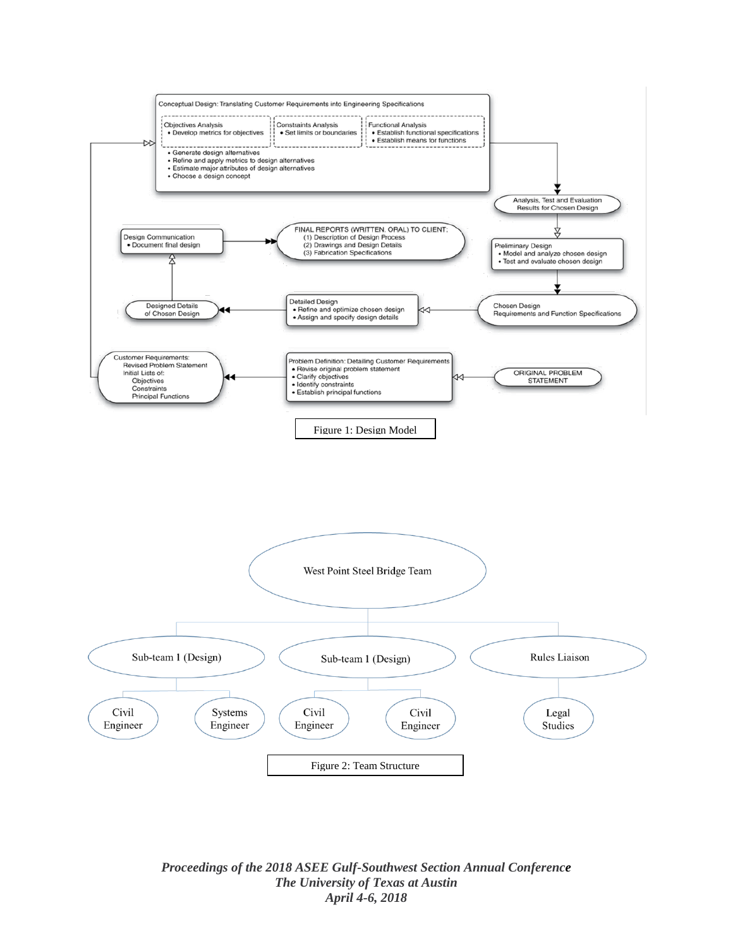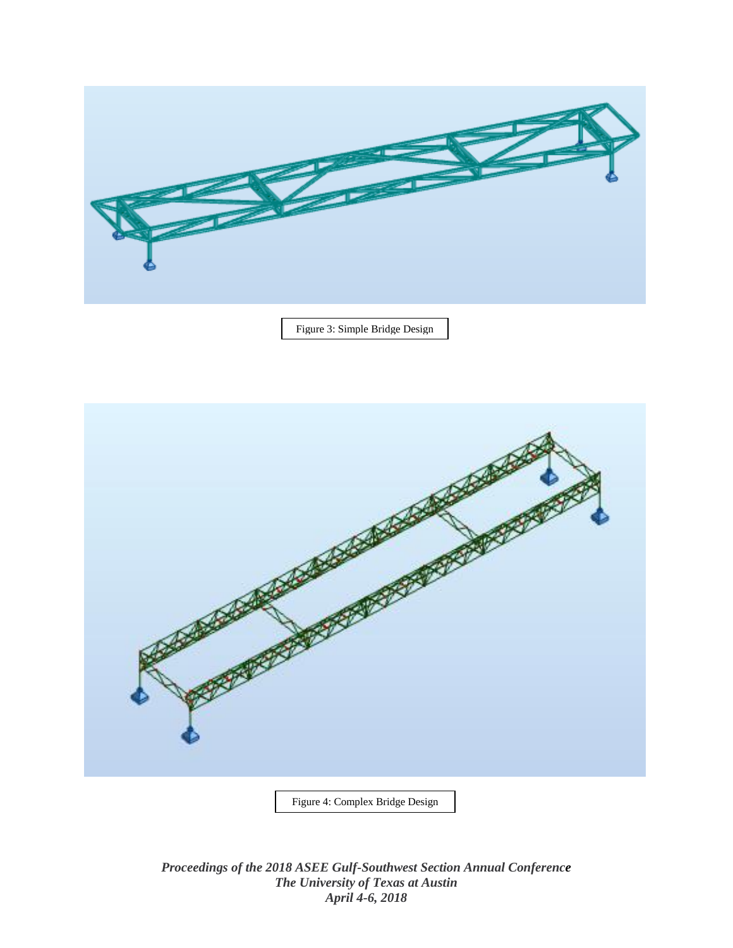

Figure 3: Simple Bridge Design



Figure 4: Complex Bridge Design